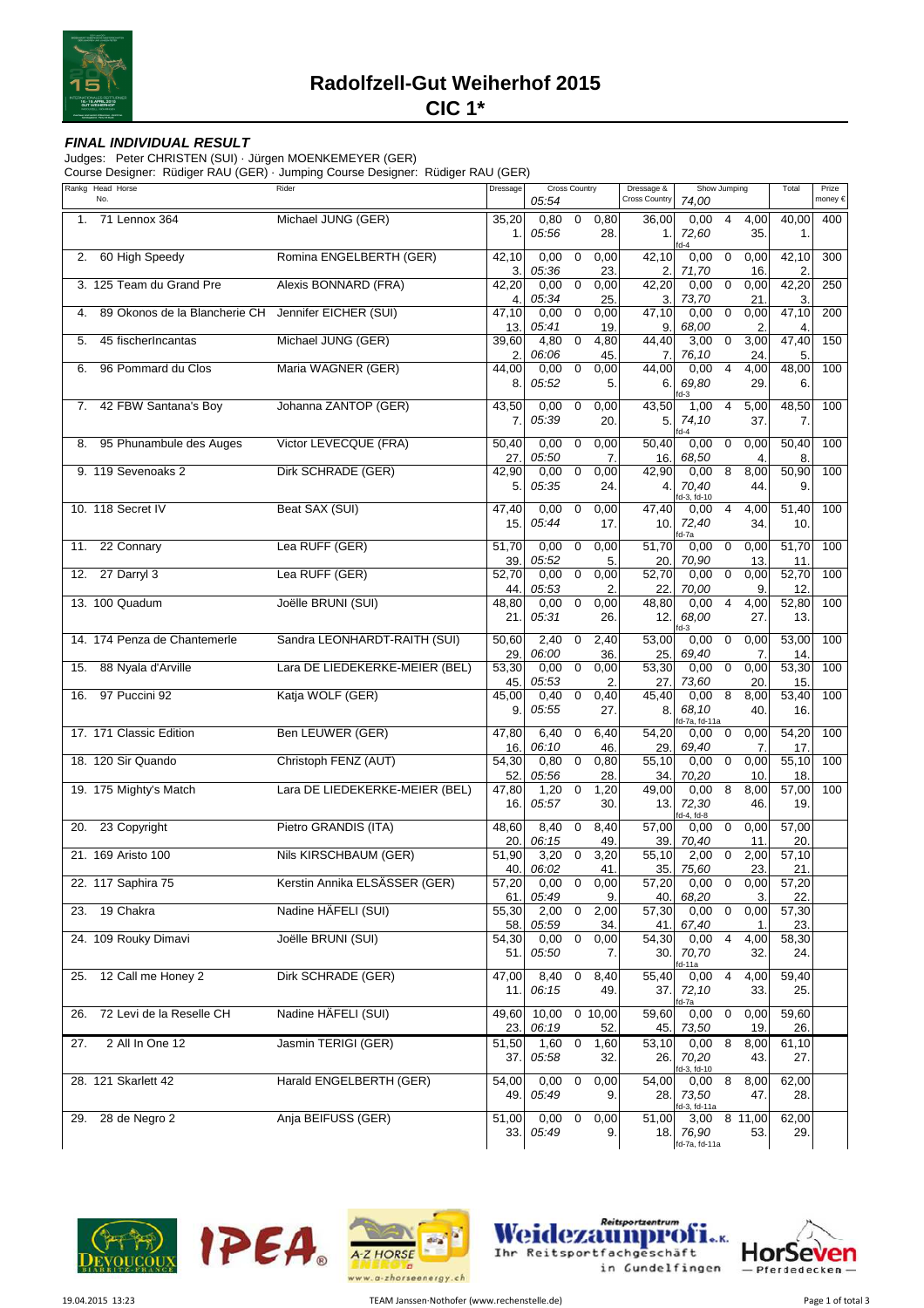

## **FINAL INDIVIDUAL RESULT**

Judges: Peter CHRISTEN (SUI) · Jürgen MOENKEMEYER (GER)

Course Designer: Rüdiger RAU (GER) · Jumping Course Designer: Rüdiger RAU (GER)

| Michael JUNG (GER)<br>$\overline{0}$<br>71 Lennox 364<br>35,20<br>0,80<br>36,00<br>0,00<br>4<br>4,00<br>40,00<br>0,80<br>400<br>1.<br>05:56<br>28.<br>72,60<br>35.<br>1.<br>1.<br>1.<br>$d-4$<br>60 High Speedy<br>Romina ENGELBERTH (GER)<br>$\boldsymbol{0}$<br>$\boldsymbol{0}$<br>42,10<br>0,00<br>0,00<br>42,10<br>0,00<br>0,00<br>42,10<br>300<br>2.<br>05:36<br>23.<br>16.<br>$\overline{2}$<br>3.<br>2.<br>71,70<br>3. 125 Team du Grand Pre<br>Alexis BONNARD (FRA)<br>$\pmb{0}$<br>42,20<br>0<br>42,20<br>250<br>42,20<br>0,00<br>0,00<br>0,00<br>0,00<br>05:34<br>25.<br>3.<br>21.<br>3.<br>4.<br>73,70<br>Jennifer EICHER (SUI)<br>$\pmb{0}$<br>47,10<br>0<br>0,00<br>47,10<br>89 Okonos de la Blancherie CH<br>47,10<br>0,00<br>0,00<br>0,00<br>200<br>4.<br>13.<br>05:41<br>19.<br>9.<br>2.<br>68,00<br>$\overline{4}$<br>Michael JUNG (GER)<br>$\pmb{0}$<br>$\mathbf 0$<br>3,00<br>47,40<br>45 fischerIncantas<br>39,60<br>4,80<br>4,80<br>44,40<br>3,00<br>150<br>5.<br>2.<br>06:06<br>45.<br>24.<br>5.<br>7.<br>76,10<br>Maria WAGNER (GER)<br>$\pmb{0}$<br>$\overline{4}$<br>4,00<br>48,00<br>96 Pommard du Clos<br>44,00<br>0,00<br>0,00<br>44,00<br>0,00<br>100<br>6.<br>05:52<br>29.<br>8.<br>5.<br>69,80<br>6.<br>6.<br>$d-3$<br>42 FBW Santana's Boy<br>Johanna ZANTOP (GER)<br>43,50<br>43,50<br>0,00<br>$\mathbf 0$<br>0,00<br>1,00<br>4<br>5,00<br>48,50<br>100<br>7.<br>05:39<br>37.<br>7.<br>20.<br>5.<br>74,10<br>7.<br>$d-4$<br>Victor LEVECQUE (FRA)<br>50,40<br>0,00<br>95 Phunambule des Auges<br>50,40<br>0,00<br>$\mathbf 0$<br>0,00<br>0,00<br>$\mathbf 0$<br>50,40<br>100<br>8.<br>27.<br>05:50<br>16.<br>8.<br>7.<br>68,50<br>$\overline{4}$<br>9. 119 Sevenoaks 2<br>Dirk SCHRADE (GER)<br>$\pmb{0}$<br>8<br>8,00<br>50,90<br>42,90<br>0,00<br>0,00<br>42,90<br>100<br>0,00<br>5.<br>05:35<br>24.<br>70,40<br>44.<br>9.<br>4.<br>d-3, fd-10<br>Beat SAX (SUI)<br>10. 118 Secret IV<br>47,40<br>51,40<br>47,40<br>0,00<br>$\mathbf 0$<br>0,00<br>4,00<br>100<br>0,00<br>4<br>15.<br>05:44<br>17.<br>72,40<br>34.<br>10.<br>10.<br>d-7a<br>Lea RUFF (GER)<br>22 Connary<br>51,70<br>51,70<br>0,00<br>$\mathbf 0$<br>0,00<br>51,70<br>0,00<br>100<br>0,00<br>$\mathbf 0$<br>11.<br>39.<br>05:52<br>70,90<br>5.<br>20.<br>13.<br>11.<br>Lea RUFF (GER)<br>27 Darryl 3<br>$\pmb{0}$<br>52,70<br>0,00<br>0,00<br>52,70<br>0,00<br>$\mathbf 0$<br>0,00<br>100<br>12.<br>52,70<br>05:53<br>22.<br>70,00<br>12 <sub>2</sub><br>44.<br>2.<br>9.<br>Joëlle BRUNI (SUI)<br>13. 100 Quadum<br>0<br>52,80<br>0,00<br>48,80<br>$\overline{4}$<br>4,00<br>100<br>48,80<br>0,00<br>0,00<br>05:31<br>68,00<br>21.<br>26.<br>12.<br>27.<br>13.<br>$d-3$<br>14. 174 Penza de Chantemerle<br>Sandra LEONHARDT-RAITH (SUI)<br>2,40<br>2,40<br>53,00<br>53,00<br>50,60<br>$\mathbf 0$<br>0,00<br>$\mathbf 0$<br>0,00<br>100<br>29.<br>06:00<br>36.<br>25.<br>69,40<br>$\overline{7}$<br>14<br>88 Nyala d'Arville<br>Lara DE LIEDEKERKE-MEIER (BEL)<br>$\pmb{0}$<br>0,00<br>53,30<br>0,00<br>53,30<br>0,00<br>$\mathbf 0$<br>100<br>53,30<br>0,00<br>15.<br>45.<br>05:53<br>73,60<br>15.<br>2.<br>27.<br>20<br>97 Puccini 92<br>Katja WOLF (GER)<br>0<br>45,40<br>8<br>8,00<br>53,40<br>100<br>16.<br>45,00<br>0,40<br>0,40<br>0,00<br>05:55<br>68,10<br>16.<br>9.<br>27.<br>8.<br>40.<br>d-7a, fd-11a<br>Ben LEUWER (GER)<br>17. 171 Classic Edition<br>54,20<br>54,20<br>47,80<br>6,40<br>0<br>6,40<br>0,00<br>100<br>0,00<br>0<br>16.<br>06:10<br>46.<br>29.<br>69,40<br>7.<br>17.<br>Christoph FENZ (AUT)<br>18. 120 Sir Quando<br>$\mathbf 0$<br>55,10<br>54,30<br>0,80<br>0,80<br>$\overline{5}5, 10$<br>0<br>0,00<br>100<br>0,00<br>18.<br>52.<br>05:56<br>28.<br>34.<br>70,20<br>10.<br>19. 175 Mighty's Match<br>Lara DE LIEDEKERKE-MEIER (BEL)<br>1,20<br>$\mathbf 0$<br>$\overline{49,00}$<br>8<br>8,00<br>57,00<br>100<br>47,80<br>1,20<br>0,00<br>16.<br>05:57<br>30.<br>13.<br>72,30<br>46.<br>19.<br>d-4, fd-8<br>Pietro GRANDIS (ITA)<br>23 Copyright<br>48,60<br>8,40<br>$\mathbf 0$<br>8,40<br>57,00<br>$\mathbf 0$<br>0,00<br>57,00<br>20.<br>0,00<br>20.<br>06:15<br>49.<br>39.<br>70,40<br>11.<br>20.<br>21. 169 Aristo 100<br>Nils KIRSCHBAUM (GER)<br>51,90<br>3,20<br>$\mathbf 0$<br>3,20<br>55,10<br>2,00<br>$\mathbf 0$<br>2,00<br>57,10<br>23.<br>40.<br>06:02<br>41.<br>35.<br>75,60<br>21.<br>22. 117 Saphira 75<br>Kerstin Annika ELSÄSSER (GER)<br>57,20<br>0,00<br>0<br>0,00<br>57,20<br>0,00<br>0<br>0,00<br>57,20<br>40.<br>68,20<br>3.<br>22.<br>61.<br>05:49<br>9.<br>23. 19 Chakra<br>Nadine HÄFELI (SUI)<br>2,00<br>$\mathbf 0$<br>2,00<br>57,30<br>0,00<br>$\mathbf 0$<br>0,00<br>57,30<br>55,30<br>58.<br>05:59<br>34.<br>67,40<br>23.<br>41.<br>$\mathbf 1$<br>Joëlle BRUNI (SUI)<br>24. 109 Rouky Dimavi<br>$\overline{0}$<br>0,00<br>0,00<br>54,30<br>0,00<br>$\overline{4}$<br>4,00<br>58,30<br>54,30<br>05:50<br>7.<br>70,70<br>32.<br>51.<br>30.<br>24.<br>d-11a<br>12 Call me Honey 2<br>Dirk SCHRADE (GER)<br>59,40<br>47,00<br>8,40<br>$\mathbf 0$<br>8,40<br>55,40<br>0,00<br>4<br>4,00<br>25.<br>06:15<br>72,10<br>33.<br>25.<br>11.<br>49.<br>37.<br>d-7a<br>72 Levi de la Reselle CH<br>Nadine HÄFELI (SUI)<br>59,60<br>49,60<br>10,00<br>0,10,00<br>59,60<br>0,00<br>$\mathbf 0$<br>0,00<br>26.<br>06:19<br>52.<br>26.<br>23.<br>45.<br>73,50<br>19.<br>2 All In One 12<br>Jasmin TERIGI (GER)<br>$\mathbf 0$<br>51,50<br>1,60<br>1,60<br>53,10<br>0,00<br>8<br>8,00<br>61,10<br>27.<br>05:58<br>37.<br>32.<br>26.<br>70,20<br>43.<br>27.<br>d-3, fd-10<br>28. 121 Skarlett 42<br>Harald ENGELBERTH (GER)<br>0,00<br>$\overline{0}$<br>54,00<br>$\overline{8}$<br>62,00<br>54,00<br>0,00<br>8,00<br>0,00<br>05:49<br>73,50<br>28.<br>49.<br>9.<br>28.<br>47.<br>d-3, fd-11a<br>Anja BEIFUSS (GER)<br>0,00<br>$8\;11,00$<br>62,00<br>28 de Negro 2<br>51,00<br>$\boldsymbol{0}$<br>0,00<br>51,00<br>29.<br>3,00<br>05:49<br>76,90<br>33.<br>18.<br>9.<br>53.<br>29.<br>fd-7a, fd-11a | Rankg Head Horse<br>No. | Rider | Dressage | Cross Country |  | Show Jumping<br>Dressage &<br>Cross Country |  | Total | Prize<br>money € |  |  |
|----------------------------------------------------------------------------------------------------------------------------------------------------------------------------------------------------------------------------------------------------------------------------------------------------------------------------------------------------------------------------------------------------------------------------------------------------------------------------------------------------------------------------------------------------------------------------------------------------------------------------------------------------------------------------------------------------------------------------------------------------------------------------------------------------------------------------------------------------------------------------------------------------------------------------------------------------------------------------------------------------------------------------------------------------------------------------------------------------------------------------------------------------------------------------------------------------------------------------------------------------------------------------------------------------------------------------------------------------------------------------------------------------------------------------------------------------------------------------------------------------------------------------------------------------------------------------------------------------------------------------------------------------------------------------------------------------------------------------------------------------------------------------------------------------------------------------------------------------------------------------------------------------------------------------------------------------------------------------------------------------------------------------------------------------------------------------------------------------------------------------------------------------------------------------------------------------------------------------------------------------------------------------------------------------------------------------------------------------------------------------------------------------------------------------------------------------------------------------------------------------------------------------------------------------------------------------------------------------------------------------------------------------------------------------------------------------------------------------------------------------------------------------------------------------------------------------------------------------------------------------------------------------------------------------------------------------------------------------------------------------------------------------------------------------------------------------------------------------------------------------------------------------------------------------------------------------------------------------------------------------------------------------------------------------------------------------------------------------------------------------------------------------------------------------------------------------------------------------------------------------------------------------------------------------------------------------------------------------------------------------------------------------------------------------------------------------------------------------------------------------------------------------------------------------------------------------------------------------------------------------------------------------------------------------------------------------------------------------------------------------------------------------------------------------------------------------------------------------------------------------------------------------------------------------------------------------------------------------------------------------------------------------------------------------------------------------------------------------------------------------------------------------------------------------------------------------------------------------------------------------------------------------------------------------------------------------------------------------------------------------------------------------------------------------------------------------------------------------------------------------------------------------------------------------------------------------------------------------------------------------------------------------------------------------------------------------------------------------------------------------------------------------------------------------------------------------------------------------------------------------------------------------------------------------------------------------------------------------------------------------------------------------------------------------------------------------------------------------------------------------------------------------------------------------------------------------------------------------------------------------------------------------------------------------------------------------------------------------------------------------------------------------------------------------------------------------------------------------------------------------------------------------------------------------------------------------------------------------------------------------------------------------------------------------------------------------------|-------------------------|-------|----------|---------------|--|---------------------------------------------|--|-------|------------------|--|--|
|                                                                                                                                                                                                                                                                                                                                                                                                                                                                                                                                                                                                                                                                                                                                                                                                                                                                                                                                                                                                                                                                                                                                                                                                                                                                                                                                                                                                                                                                                                                                                                                                                                                                                                                                                                                                                                                                                                                                                                                                                                                                                                                                                                                                                                                                                                                                                                                                                                                                                                                                                                                                                                                                                                                                                                                                                                                                                                                                                                                                                                                                                                                                                                                                                                                                                                                                                                                                                                                                                                                                                                                                                                                                                                                                                                                                                                                                                                                                                                                                                                                                                                                                                                                                                                                                                                                                                                                                                                                                                                                                                                                                                                                                                                                                                                                                                                                                                                                                                                                                                                                                                                                                                                                                                                                                                                                                                                                                                                                                                                                                                                                                                                                                                                                                                                                                                                                                                                                                                          |                         |       |          | 05:54         |  |                                             |  | 74,00 |                  |  |  |
|                                                                                                                                                                                                                                                                                                                                                                                                                                                                                                                                                                                                                                                                                                                                                                                                                                                                                                                                                                                                                                                                                                                                                                                                                                                                                                                                                                                                                                                                                                                                                                                                                                                                                                                                                                                                                                                                                                                                                                                                                                                                                                                                                                                                                                                                                                                                                                                                                                                                                                                                                                                                                                                                                                                                                                                                                                                                                                                                                                                                                                                                                                                                                                                                                                                                                                                                                                                                                                                                                                                                                                                                                                                                                                                                                                                                                                                                                                                                                                                                                                                                                                                                                                                                                                                                                                                                                                                                                                                                                                                                                                                                                                                                                                                                                                                                                                                                                                                                                                                                                                                                                                                                                                                                                                                                                                                                                                                                                                                                                                                                                                                                                                                                                                                                                                                                                                                                                                                                                          |                         |       |          |               |  |                                             |  |       |                  |  |  |
|                                                                                                                                                                                                                                                                                                                                                                                                                                                                                                                                                                                                                                                                                                                                                                                                                                                                                                                                                                                                                                                                                                                                                                                                                                                                                                                                                                                                                                                                                                                                                                                                                                                                                                                                                                                                                                                                                                                                                                                                                                                                                                                                                                                                                                                                                                                                                                                                                                                                                                                                                                                                                                                                                                                                                                                                                                                                                                                                                                                                                                                                                                                                                                                                                                                                                                                                                                                                                                                                                                                                                                                                                                                                                                                                                                                                                                                                                                                                                                                                                                                                                                                                                                                                                                                                                                                                                                                                                                                                                                                                                                                                                                                                                                                                                                                                                                                                                                                                                                                                                                                                                                                                                                                                                                                                                                                                                                                                                                                                                                                                                                                                                                                                                                                                                                                                                                                                                                                                                          |                         |       |          |               |  |                                             |  |       |                  |  |  |
|                                                                                                                                                                                                                                                                                                                                                                                                                                                                                                                                                                                                                                                                                                                                                                                                                                                                                                                                                                                                                                                                                                                                                                                                                                                                                                                                                                                                                                                                                                                                                                                                                                                                                                                                                                                                                                                                                                                                                                                                                                                                                                                                                                                                                                                                                                                                                                                                                                                                                                                                                                                                                                                                                                                                                                                                                                                                                                                                                                                                                                                                                                                                                                                                                                                                                                                                                                                                                                                                                                                                                                                                                                                                                                                                                                                                                                                                                                                                                                                                                                                                                                                                                                                                                                                                                                                                                                                                                                                                                                                                                                                                                                                                                                                                                                                                                                                                                                                                                                                                                                                                                                                                                                                                                                                                                                                                                                                                                                                                                                                                                                                                                                                                                                                                                                                                                                                                                                                                                          |                         |       |          |               |  |                                             |  |       |                  |  |  |
|                                                                                                                                                                                                                                                                                                                                                                                                                                                                                                                                                                                                                                                                                                                                                                                                                                                                                                                                                                                                                                                                                                                                                                                                                                                                                                                                                                                                                                                                                                                                                                                                                                                                                                                                                                                                                                                                                                                                                                                                                                                                                                                                                                                                                                                                                                                                                                                                                                                                                                                                                                                                                                                                                                                                                                                                                                                                                                                                                                                                                                                                                                                                                                                                                                                                                                                                                                                                                                                                                                                                                                                                                                                                                                                                                                                                                                                                                                                                                                                                                                                                                                                                                                                                                                                                                                                                                                                                                                                                                                                                                                                                                                                                                                                                                                                                                                                                                                                                                                                                                                                                                                                                                                                                                                                                                                                                                                                                                                                                                                                                                                                                                                                                                                                                                                                                                                                                                                                                                          |                         |       |          |               |  |                                             |  |       |                  |  |  |
|                                                                                                                                                                                                                                                                                                                                                                                                                                                                                                                                                                                                                                                                                                                                                                                                                                                                                                                                                                                                                                                                                                                                                                                                                                                                                                                                                                                                                                                                                                                                                                                                                                                                                                                                                                                                                                                                                                                                                                                                                                                                                                                                                                                                                                                                                                                                                                                                                                                                                                                                                                                                                                                                                                                                                                                                                                                                                                                                                                                                                                                                                                                                                                                                                                                                                                                                                                                                                                                                                                                                                                                                                                                                                                                                                                                                                                                                                                                                                                                                                                                                                                                                                                                                                                                                                                                                                                                                                                                                                                                                                                                                                                                                                                                                                                                                                                                                                                                                                                                                                                                                                                                                                                                                                                                                                                                                                                                                                                                                                                                                                                                                                                                                                                                                                                                                                                                                                                                                                          |                         |       |          |               |  |                                             |  |       |                  |  |  |
|                                                                                                                                                                                                                                                                                                                                                                                                                                                                                                                                                                                                                                                                                                                                                                                                                                                                                                                                                                                                                                                                                                                                                                                                                                                                                                                                                                                                                                                                                                                                                                                                                                                                                                                                                                                                                                                                                                                                                                                                                                                                                                                                                                                                                                                                                                                                                                                                                                                                                                                                                                                                                                                                                                                                                                                                                                                                                                                                                                                                                                                                                                                                                                                                                                                                                                                                                                                                                                                                                                                                                                                                                                                                                                                                                                                                                                                                                                                                                                                                                                                                                                                                                                                                                                                                                                                                                                                                                                                                                                                                                                                                                                                                                                                                                                                                                                                                                                                                                                                                                                                                                                                                                                                                                                                                                                                                                                                                                                                                                                                                                                                                                                                                                                                                                                                                                                                                                                                                                          |                         |       |          |               |  |                                             |  |       |                  |  |  |
|                                                                                                                                                                                                                                                                                                                                                                                                                                                                                                                                                                                                                                                                                                                                                                                                                                                                                                                                                                                                                                                                                                                                                                                                                                                                                                                                                                                                                                                                                                                                                                                                                                                                                                                                                                                                                                                                                                                                                                                                                                                                                                                                                                                                                                                                                                                                                                                                                                                                                                                                                                                                                                                                                                                                                                                                                                                                                                                                                                                                                                                                                                                                                                                                                                                                                                                                                                                                                                                                                                                                                                                                                                                                                                                                                                                                                                                                                                                                                                                                                                                                                                                                                                                                                                                                                                                                                                                                                                                                                                                                                                                                                                                                                                                                                                                                                                                                                                                                                                                                                                                                                                                                                                                                                                                                                                                                                                                                                                                                                                                                                                                                                                                                                                                                                                                                                                                                                                                                                          |                         |       |          |               |  |                                             |  |       |                  |  |  |
|                                                                                                                                                                                                                                                                                                                                                                                                                                                                                                                                                                                                                                                                                                                                                                                                                                                                                                                                                                                                                                                                                                                                                                                                                                                                                                                                                                                                                                                                                                                                                                                                                                                                                                                                                                                                                                                                                                                                                                                                                                                                                                                                                                                                                                                                                                                                                                                                                                                                                                                                                                                                                                                                                                                                                                                                                                                                                                                                                                                                                                                                                                                                                                                                                                                                                                                                                                                                                                                                                                                                                                                                                                                                                                                                                                                                                                                                                                                                                                                                                                                                                                                                                                                                                                                                                                                                                                                                                                                                                                                                                                                                                                                                                                                                                                                                                                                                                                                                                                                                                                                                                                                                                                                                                                                                                                                                                                                                                                                                                                                                                                                                                                                                                                                                                                                                                                                                                                                                                          |                         |       |          |               |  |                                             |  |       |                  |  |  |
|                                                                                                                                                                                                                                                                                                                                                                                                                                                                                                                                                                                                                                                                                                                                                                                                                                                                                                                                                                                                                                                                                                                                                                                                                                                                                                                                                                                                                                                                                                                                                                                                                                                                                                                                                                                                                                                                                                                                                                                                                                                                                                                                                                                                                                                                                                                                                                                                                                                                                                                                                                                                                                                                                                                                                                                                                                                                                                                                                                                                                                                                                                                                                                                                                                                                                                                                                                                                                                                                                                                                                                                                                                                                                                                                                                                                                                                                                                                                                                                                                                                                                                                                                                                                                                                                                                                                                                                                                                                                                                                                                                                                                                                                                                                                                                                                                                                                                                                                                                                                                                                                                                                                                                                                                                                                                                                                                                                                                                                                                                                                                                                                                                                                                                                                                                                                                                                                                                                                                          |                         |       |          |               |  |                                             |  |       |                  |  |  |
|                                                                                                                                                                                                                                                                                                                                                                                                                                                                                                                                                                                                                                                                                                                                                                                                                                                                                                                                                                                                                                                                                                                                                                                                                                                                                                                                                                                                                                                                                                                                                                                                                                                                                                                                                                                                                                                                                                                                                                                                                                                                                                                                                                                                                                                                                                                                                                                                                                                                                                                                                                                                                                                                                                                                                                                                                                                                                                                                                                                                                                                                                                                                                                                                                                                                                                                                                                                                                                                                                                                                                                                                                                                                                                                                                                                                                                                                                                                                                                                                                                                                                                                                                                                                                                                                                                                                                                                                                                                                                                                                                                                                                                                                                                                                                                                                                                                                                                                                                                                                                                                                                                                                                                                                                                                                                                                                                                                                                                                                                                                                                                                                                                                                                                                                                                                                                                                                                                                                                          |                         |       |          |               |  |                                             |  |       |                  |  |  |
|                                                                                                                                                                                                                                                                                                                                                                                                                                                                                                                                                                                                                                                                                                                                                                                                                                                                                                                                                                                                                                                                                                                                                                                                                                                                                                                                                                                                                                                                                                                                                                                                                                                                                                                                                                                                                                                                                                                                                                                                                                                                                                                                                                                                                                                                                                                                                                                                                                                                                                                                                                                                                                                                                                                                                                                                                                                                                                                                                                                                                                                                                                                                                                                                                                                                                                                                                                                                                                                                                                                                                                                                                                                                                                                                                                                                                                                                                                                                                                                                                                                                                                                                                                                                                                                                                                                                                                                                                                                                                                                                                                                                                                                                                                                                                                                                                                                                                                                                                                                                                                                                                                                                                                                                                                                                                                                                                                                                                                                                                                                                                                                                                                                                                                                                                                                                                                                                                                                                                          |                         |       |          |               |  |                                             |  |       |                  |  |  |
|                                                                                                                                                                                                                                                                                                                                                                                                                                                                                                                                                                                                                                                                                                                                                                                                                                                                                                                                                                                                                                                                                                                                                                                                                                                                                                                                                                                                                                                                                                                                                                                                                                                                                                                                                                                                                                                                                                                                                                                                                                                                                                                                                                                                                                                                                                                                                                                                                                                                                                                                                                                                                                                                                                                                                                                                                                                                                                                                                                                                                                                                                                                                                                                                                                                                                                                                                                                                                                                                                                                                                                                                                                                                                                                                                                                                                                                                                                                                                                                                                                                                                                                                                                                                                                                                                                                                                                                                                                                                                                                                                                                                                                                                                                                                                                                                                                                                                                                                                                                                                                                                                                                                                                                                                                                                                                                                                                                                                                                                                                                                                                                                                                                                                                                                                                                                                                                                                                                                                          |                         |       |          |               |  |                                             |  |       |                  |  |  |
|                                                                                                                                                                                                                                                                                                                                                                                                                                                                                                                                                                                                                                                                                                                                                                                                                                                                                                                                                                                                                                                                                                                                                                                                                                                                                                                                                                                                                                                                                                                                                                                                                                                                                                                                                                                                                                                                                                                                                                                                                                                                                                                                                                                                                                                                                                                                                                                                                                                                                                                                                                                                                                                                                                                                                                                                                                                                                                                                                                                                                                                                                                                                                                                                                                                                                                                                                                                                                                                                                                                                                                                                                                                                                                                                                                                                                                                                                                                                                                                                                                                                                                                                                                                                                                                                                                                                                                                                                                                                                                                                                                                                                                                                                                                                                                                                                                                                                                                                                                                                                                                                                                                                                                                                                                                                                                                                                                                                                                                                                                                                                                                                                                                                                                                                                                                                                                                                                                                                                          |                         |       |          |               |  |                                             |  |       |                  |  |  |
|                                                                                                                                                                                                                                                                                                                                                                                                                                                                                                                                                                                                                                                                                                                                                                                                                                                                                                                                                                                                                                                                                                                                                                                                                                                                                                                                                                                                                                                                                                                                                                                                                                                                                                                                                                                                                                                                                                                                                                                                                                                                                                                                                                                                                                                                                                                                                                                                                                                                                                                                                                                                                                                                                                                                                                                                                                                                                                                                                                                                                                                                                                                                                                                                                                                                                                                                                                                                                                                                                                                                                                                                                                                                                                                                                                                                                                                                                                                                                                                                                                                                                                                                                                                                                                                                                                                                                                                                                                                                                                                                                                                                                                                                                                                                                                                                                                                                                                                                                                                                                                                                                                                                                                                                                                                                                                                                                                                                                                                                                                                                                                                                                                                                                                                                                                                                                                                                                                                                                          |                         |       |          |               |  |                                             |  |       |                  |  |  |
|                                                                                                                                                                                                                                                                                                                                                                                                                                                                                                                                                                                                                                                                                                                                                                                                                                                                                                                                                                                                                                                                                                                                                                                                                                                                                                                                                                                                                                                                                                                                                                                                                                                                                                                                                                                                                                                                                                                                                                                                                                                                                                                                                                                                                                                                                                                                                                                                                                                                                                                                                                                                                                                                                                                                                                                                                                                                                                                                                                                                                                                                                                                                                                                                                                                                                                                                                                                                                                                                                                                                                                                                                                                                                                                                                                                                                                                                                                                                                                                                                                                                                                                                                                                                                                                                                                                                                                                                                                                                                                                                                                                                                                                                                                                                                                                                                                                                                                                                                                                                                                                                                                                                                                                                                                                                                                                                                                                                                                                                                                                                                                                                                                                                                                                                                                                                                                                                                                                                                          |                         |       |          |               |  |                                             |  |       |                  |  |  |
|                                                                                                                                                                                                                                                                                                                                                                                                                                                                                                                                                                                                                                                                                                                                                                                                                                                                                                                                                                                                                                                                                                                                                                                                                                                                                                                                                                                                                                                                                                                                                                                                                                                                                                                                                                                                                                                                                                                                                                                                                                                                                                                                                                                                                                                                                                                                                                                                                                                                                                                                                                                                                                                                                                                                                                                                                                                                                                                                                                                                                                                                                                                                                                                                                                                                                                                                                                                                                                                                                                                                                                                                                                                                                                                                                                                                                                                                                                                                                                                                                                                                                                                                                                                                                                                                                                                                                                                                                                                                                                                                                                                                                                                                                                                                                                                                                                                                                                                                                                                                                                                                                                                                                                                                                                                                                                                                                                                                                                                                                                                                                                                                                                                                                                                                                                                                                                                                                                                                                          |                         |       |          |               |  |                                             |  |       |                  |  |  |
|                                                                                                                                                                                                                                                                                                                                                                                                                                                                                                                                                                                                                                                                                                                                                                                                                                                                                                                                                                                                                                                                                                                                                                                                                                                                                                                                                                                                                                                                                                                                                                                                                                                                                                                                                                                                                                                                                                                                                                                                                                                                                                                                                                                                                                                                                                                                                                                                                                                                                                                                                                                                                                                                                                                                                                                                                                                                                                                                                                                                                                                                                                                                                                                                                                                                                                                                                                                                                                                                                                                                                                                                                                                                                                                                                                                                                                                                                                                                                                                                                                                                                                                                                                                                                                                                                                                                                                                                                                                                                                                                                                                                                                                                                                                                                                                                                                                                                                                                                                                                                                                                                                                                                                                                                                                                                                                                                                                                                                                                                                                                                                                                                                                                                                                                                                                                                                                                                                                                                          |                         |       |          |               |  |                                             |  |       |                  |  |  |
|                                                                                                                                                                                                                                                                                                                                                                                                                                                                                                                                                                                                                                                                                                                                                                                                                                                                                                                                                                                                                                                                                                                                                                                                                                                                                                                                                                                                                                                                                                                                                                                                                                                                                                                                                                                                                                                                                                                                                                                                                                                                                                                                                                                                                                                                                                                                                                                                                                                                                                                                                                                                                                                                                                                                                                                                                                                                                                                                                                                                                                                                                                                                                                                                                                                                                                                                                                                                                                                                                                                                                                                                                                                                                                                                                                                                                                                                                                                                                                                                                                                                                                                                                                                                                                                                                                                                                                                                                                                                                                                                                                                                                                                                                                                                                                                                                                                                                                                                                                                                                                                                                                                                                                                                                                                                                                                                                                                                                                                                                                                                                                                                                                                                                                                                                                                                                                                                                                                                                          |                         |       |          |               |  |                                             |  |       |                  |  |  |
|                                                                                                                                                                                                                                                                                                                                                                                                                                                                                                                                                                                                                                                                                                                                                                                                                                                                                                                                                                                                                                                                                                                                                                                                                                                                                                                                                                                                                                                                                                                                                                                                                                                                                                                                                                                                                                                                                                                                                                                                                                                                                                                                                                                                                                                                                                                                                                                                                                                                                                                                                                                                                                                                                                                                                                                                                                                                                                                                                                                                                                                                                                                                                                                                                                                                                                                                                                                                                                                                                                                                                                                                                                                                                                                                                                                                                                                                                                                                                                                                                                                                                                                                                                                                                                                                                                                                                                                                                                                                                                                                                                                                                                                                                                                                                                                                                                                                                                                                                                                                                                                                                                                                                                                                                                                                                                                                                                                                                                                                                                                                                                                                                                                                                                                                                                                                                                                                                                                                                          |                         |       |          |               |  |                                             |  |       |                  |  |  |
|                                                                                                                                                                                                                                                                                                                                                                                                                                                                                                                                                                                                                                                                                                                                                                                                                                                                                                                                                                                                                                                                                                                                                                                                                                                                                                                                                                                                                                                                                                                                                                                                                                                                                                                                                                                                                                                                                                                                                                                                                                                                                                                                                                                                                                                                                                                                                                                                                                                                                                                                                                                                                                                                                                                                                                                                                                                                                                                                                                                                                                                                                                                                                                                                                                                                                                                                                                                                                                                                                                                                                                                                                                                                                                                                                                                                                                                                                                                                                                                                                                                                                                                                                                                                                                                                                                                                                                                                                                                                                                                                                                                                                                                                                                                                                                                                                                                                                                                                                                                                                                                                                                                                                                                                                                                                                                                                                                                                                                                                                                                                                                                                                                                                                                                                                                                                                                                                                                                                                          |                         |       |          |               |  |                                             |  |       |                  |  |  |
|                                                                                                                                                                                                                                                                                                                                                                                                                                                                                                                                                                                                                                                                                                                                                                                                                                                                                                                                                                                                                                                                                                                                                                                                                                                                                                                                                                                                                                                                                                                                                                                                                                                                                                                                                                                                                                                                                                                                                                                                                                                                                                                                                                                                                                                                                                                                                                                                                                                                                                                                                                                                                                                                                                                                                                                                                                                                                                                                                                                                                                                                                                                                                                                                                                                                                                                                                                                                                                                                                                                                                                                                                                                                                                                                                                                                                                                                                                                                                                                                                                                                                                                                                                                                                                                                                                                                                                                                                                                                                                                                                                                                                                                                                                                                                                                                                                                                                                                                                                                                                                                                                                                                                                                                                                                                                                                                                                                                                                                                                                                                                                                                                                                                                                                                                                                                                                                                                                                                                          |                         |       |          |               |  |                                             |  |       |                  |  |  |
|                                                                                                                                                                                                                                                                                                                                                                                                                                                                                                                                                                                                                                                                                                                                                                                                                                                                                                                                                                                                                                                                                                                                                                                                                                                                                                                                                                                                                                                                                                                                                                                                                                                                                                                                                                                                                                                                                                                                                                                                                                                                                                                                                                                                                                                                                                                                                                                                                                                                                                                                                                                                                                                                                                                                                                                                                                                                                                                                                                                                                                                                                                                                                                                                                                                                                                                                                                                                                                                                                                                                                                                                                                                                                                                                                                                                                                                                                                                                                                                                                                                                                                                                                                                                                                                                                                                                                                                                                                                                                                                                                                                                                                                                                                                                                                                                                                                                                                                                                                                                                                                                                                                                                                                                                                                                                                                                                                                                                                                                                                                                                                                                                                                                                                                                                                                                                                                                                                                                                          |                         |       |          |               |  |                                             |  |       |                  |  |  |
|                                                                                                                                                                                                                                                                                                                                                                                                                                                                                                                                                                                                                                                                                                                                                                                                                                                                                                                                                                                                                                                                                                                                                                                                                                                                                                                                                                                                                                                                                                                                                                                                                                                                                                                                                                                                                                                                                                                                                                                                                                                                                                                                                                                                                                                                                                                                                                                                                                                                                                                                                                                                                                                                                                                                                                                                                                                                                                                                                                                                                                                                                                                                                                                                                                                                                                                                                                                                                                                                                                                                                                                                                                                                                                                                                                                                                                                                                                                                                                                                                                                                                                                                                                                                                                                                                                                                                                                                                                                                                                                                                                                                                                                                                                                                                                                                                                                                                                                                                                                                                                                                                                                                                                                                                                                                                                                                                                                                                                                                                                                                                                                                                                                                                                                                                                                                                                                                                                                                                          |                         |       |          |               |  |                                             |  |       |                  |  |  |
|                                                                                                                                                                                                                                                                                                                                                                                                                                                                                                                                                                                                                                                                                                                                                                                                                                                                                                                                                                                                                                                                                                                                                                                                                                                                                                                                                                                                                                                                                                                                                                                                                                                                                                                                                                                                                                                                                                                                                                                                                                                                                                                                                                                                                                                                                                                                                                                                                                                                                                                                                                                                                                                                                                                                                                                                                                                                                                                                                                                                                                                                                                                                                                                                                                                                                                                                                                                                                                                                                                                                                                                                                                                                                                                                                                                                                                                                                                                                                                                                                                                                                                                                                                                                                                                                                                                                                                                                                                                                                                                                                                                                                                                                                                                                                                                                                                                                                                                                                                                                                                                                                                                                                                                                                                                                                                                                                                                                                                                                                                                                                                                                                                                                                                                                                                                                                                                                                                                                                          |                         |       |          |               |  |                                             |  |       |                  |  |  |
|                                                                                                                                                                                                                                                                                                                                                                                                                                                                                                                                                                                                                                                                                                                                                                                                                                                                                                                                                                                                                                                                                                                                                                                                                                                                                                                                                                                                                                                                                                                                                                                                                                                                                                                                                                                                                                                                                                                                                                                                                                                                                                                                                                                                                                                                                                                                                                                                                                                                                                                                                                                                                                                                                                                                                                                                                                                                                                                                                                                                                                                                                                                                                                                                                                                                                                                                                                                                                                                                                                                                                                                                                                                                                                                                                                                                                                                                                                                                                                                                                                                                                                                                                                                                                                                                                                                                                                                                                                                                                                                                                                                                                                                                                                                                                                                                                                                                                                                                                                                                                                                                                                                                                                                                                                                                                                                                                                                                                                                                                                                                                                                                                                                                                                                                                                                                                                                                                                                                                          |                         |       |          |               |  |                                             |  |       |                  |  |  |
|                                                                                                                                                                                                                                                                                                                                                                                                                                                                                                                                                                                                                                                                                                                                                                                                                                                                                                                                                                                                                                                                                                                                                                                                                                                                                                                                                                                                                                                                                                                                                                                                                                                                                                                                                                                                                                                                                                                                                                                                                                                                                                                                                                                                                                                                                                                                                                                                                                                                                                                                                                                                                                                                                                                                                                                                                                                                                                                                                                                                                                                                                                                                                                                                                                                                                                                                                                                                                                                                                                                                                                                                                                                                                                                                                                                                                                                                                                                                                                                                                                                                                                                                                                                                                                                                                                                                                                                                                                                                                                                                                                                                                                                                                                                                                                                                                                                                                                                                                                                                                                                                                                                                                                                                                                                                                                                                                                                                                                                                                                                                                                                                                                                                                                                                                                                                                                                                                                                                                          |                         |       |          |               |  |                                             |  |       |                  |  |  |
|                                                                                                                                                                                                                                                                                                                                                                                                                                                                                                                                                                                                                                                                                                                                                                                                                                                                                                                                                                                                                                                                                                                                                                                                                                                                                                                                                                                                                                                                                                                                                                                                                                                                                                                                                                                                                                                                                                                                                                                                                                                                                                                                                                                                                                                                                                                                                                                                                                                                                                                                                                                                                                                                                                                                                                                                                                                                                                                                                                                                                                                                                                                                                                                                                                                                                                                                                                                                                                                                                                                                                                                                                                                                                                                                                                                                                                                                                                                                                                                                                                                                                                                                                                                                                                                                                                                                                                                                                                                                                                                                                                                                                                                                                                                                                                                                                                                                                                                                                                                                                                                                                                                                                                                                                                                                                                                                                                                                                                                                                                                                                                                                                                                                                                                                                                                                                                                                                                                                                          |                         |       |          |               |  |                                             |  |       |                  |  |  |
|                                                                                                                                                                                                                                                                                                                                                                                                                                                                                                                                                                                                                                                                                                                                                                                                                                                                                                                                                                                                                                                                                                                                                                                                                                                                                                                                                                                                                                                                                                                                                                                                                                                                                                                                                                                                                                                                                                                                                                                                                                                                                                                                                                                                                                                                                                                                                                                                                                                                                                                                                                                                                                                                                                                                                                                                                                                                                                                                                                                                                                                                                                                                                                                                                                                                                                                                                                                                                                                                                                                                                                                                                                                                                                                                                                                                                                                                                                                                                                                                                                                                                                                                                                                                                                                                                                                                                                                                                                                                                                                                                                                                                                                                                                                                                                                                                                                                                                                                                                                                                                                                                                                                                                                                                                                                                                                                                                                                                                                                                                                                                                                                                                                                                                                                                                                                                                                                                                                                                          |                         |       |          |               |  |                                             |  |       |                  |  |  |
|                                                                                                                                                                                                                                                                                                                                                                                                                                                                                                                                                                                                                                                                                                                                                                                                                                                                                                                                                                                                                                                                                                                                                                                                                                                                                                                                                                                                                                                                                                                                                                                                                                                                                                                                                                                                                                                                                                                                                                                                                                                                                                                                                                                                                                                                                                                                                                                                                                                                                                                                                                                                                                                                                                                                                                                                                                                                                                                                                                                                                                                                                                                                                                                                                                                                                                                                                                                                                                                                                                                                                                                                                                                                                                                                                                                                                                                                                                                                                                                                                                                                                                                                                                                                                                                                                                                                                                                                                                                                                                                                                                                                                                                                                                                                                                                                                                                                                                                                                                                                                                                                                                                                                                                                                                                                                                                                                                                                                                                                                                                                                                                                                                                                                                                                                                                                                                                                                                                                                          |                         |       |          |               |  |                                             |  |       |                  |  |  |
|                                                                                                                                                                                                                                                                                                                                                                                                                                                                                                                                                                                                                                                                                                                                                                                                                                                                                                                                                                                                                                                                                                                                                                                                                                                                                                                                                                                                                                                                                                                                                                                                                                                                                                                                                                                                                                                                                                                                                                                                                                                                                                                                                                                                                                                                                                                                                                                                                                                                                                                                                                                                                                                                                                                                                                                                                                                                                                                                                                                                                                                                                                                                                                                                                                                                                                                                                                                                                                                                                                                                                                                                                                                                                                                                                                                                                                                                                                                                                                                                                                                                                                                                                                                                                                                                                                                                                                                                                                                                                                                                                                                                                                                                                                                                                                                                                                                                                                                                                                                                                                                                                                                                                                                                                                                                                                                                                                                                                                                                                                                                                                                                                                                                                                                                                                                                                                                                                                                                                          |                         |       |          |               |  |                                             |  |       |                  |  |  |
|                                                                                                                                                                                                                                                                                                                                                                                                                                                                                                                                                                                                                                                                                                                                                                                                                                                                                                                                                                                                                                                                                                                                                                                                                                                                                                                                                                                                                                                                                                                                                                                                                                                                                                                                                                                                                                                                                                                                                                                                                                                                                                                                                                                                                                                                                                                                                                                                                                                                                                                                                                                                                                                                                                                                                                                                                                                                                                                                                                                                                                                                                                                                                                                                                                                                                                                                                                                                                                                                                                                                                                                                                                                                                                                                                                                                                                                                                                                                                                                                                                                                                                                                                                                                                                                                                                                                                                                                                                                                                                                                                                                                                                                                                                                                                                                                                                                                                                                                                                                                                                                                                                                                                                                                                                                                                                                                                                                                                                                                                                                                                                                                                                                                                                                                                                                                                                                                                                                                                          |                         |       |          |               |  |                                             |  |       |                  |  |  |
|                                                                                                                                                                                                                                                                                                                                                                                                                                                                                                                                                                                                                                                                                                                                                                                                                                                                                                                                                                                                                                                                                                                                                                                                                                                                                                                                                                                                                                                                                                                                                                                                                                                                                                                                                                                                                                                                                                                                                                                                                                                                                                                                                                                                                                                                                                                                                                                                                                                                                                                                                                                                                                                                                                                                                                                                                                                                                                                                                                                                                                                                                                                                                                                                                                                                                                                                                                                                                                                                                                                                                                                                                                                                                                                                                                                                                                                                                                                                                                                                                                                                                                                                                                                                                                                                                                                                                                                                                                                                                                                                                                                                                                                                                                                                                                                                                                                                                                                                                                                                                                                                                                                                                                                                                                                                                                                                                                                                                                                                                                                                                                                                                                                                                                                                                                                                                                                                                                                                                          |                         |       |          |               |  |                                             |  |       |                  |  |  |
|                                                                                                                                                                                                                                                                                                                                                                                                                                                                                                                                                                                                                                                                                                                                                                                                                                                                                                                                                                                                                                                                                                                                                                                                                                                                                                                                                                                                                                                                                                                                                                                                                                                                                                                                                                                                                                                                                                                                                                                                                                                                                                                                                                                                                                                                                                                                                                                                                                                                                                                                                                                                                                                                                                                                                                                                                                                                                                                                                                                                                                                                                                                                                                                                                                                                                                                                                                                                                                                                                                                                                                                                                                                                                                                                                                                                                                                                                                                                                                                                                                                                                                                                                                                                                                                                                                                                                                                                                                                                                                                                                                                                                                                                                                                                                                                                                                                                                                                                                                                                                                                                                                                                                                                                                                                                                                                                                                                                                                                                                                                                                                                                                                                                                                                                                                                                                                                                                                                                                          |                         |       |          |               |  |                                             |  |       |                  |  |  |
|                                                                                                                                                                                                                                                                                                                                                                                                                                                                                                                                                                                                                                                                                                                                                                                                                                                                                                                                                                                                                                                                                                                                                                                                                                                                                                                                                                                                                                                                                                                                                                                                                                                                                                                                                                                                                                                                                                                                                                                                                                                                                                                                                                                                                                                                                                                                                                                                                                                                                                                                                                                                                                                                                                                                                                                                                                                                                                                                                                                                                                                                                                                                                                                                                                                                                                                                                                                                                                                                                                                                                                                                                                                                                                                                                                                                                                                                                                                                                                                                                                                                                                                                                                                                                                                                                                                                                                                                                                                                                                                                                                                                                                                                                                                                                                                                                                                                                                                                                                                                                                                                                                                                                                                                                                                                                                                                                                                                                                                                                                                                                                                                                                                                                                                                                                                                                                                                                                                                                          |                         |       |          |               |  |                                             |  |       |                  |  |  |
|                                                                                                                                                                                                                                                                                                                                                                                                                                                                                                                                                                                                                                                                                                                                                                                                                                                                                                                                                                                                                                                                                                                                                                                                                                                                                                                                                                                                                                                                                                                                                                                                                                                                                                                                                                                                                                                                                                                                                                                                                                                                                                                                                                                                                                                                                                                                                                                                                                                                                                                                                                                                                                                                                                                                                                                                                                                                                                                                                                                                                                                                                                                                                                                                                                                                                                                                                                                                                                                                                                                                                                                                                                                                                                                                                                                                                                                                                                                                                                                                                                                                                                                                                                                                                                                                                                                                                                                                                                                                                                                                                                                                                                                                                                                                                                                                                                                                                                                                                                                                                                                                                                                                                                                                                                                                                                                                                                                                                                                                                                                                                                                                                                                                                                                                                                                                                                                                                                                                                          |                         |       |          |               |  |                                             |  |       |                  |  |  |
|                                                                                                                                                                                                                                                                                                                                                                                                                                                                                                                                                                                                                                                                                                                                                                                                                                                                                                                                                                                                                                                                                                                                                                                                                                                                                                                                                                                                                                                                                                                                                                                                                                                                                                                                                                                                                                                                                                                                                                                                                                                                                                                                                                                                                                                                                                                                                                                                                                                                                                                                                                                                                                                                                                                                                                                                                                                                                                                                                                                                                                                                                                                                                                                                                                                                                                                                                                                                                                                                                                                                                                                                                                                                                                                                                                                                                                                                                                                                                                                                                                                                                                                                                                                                                                                                                                                                                                                                                                                                                                                                                                                                                                                                                                                                                                                                                                                                                                                                                                                                                                                                                                                                                                                                                                                                                                                                                                                                                                                                                                                                                                                                                                                                                                                                                                                                                                                                                                                                                          |                         |       |          |               |  |                                             |  |       |                  |  |  |
|                                                                                                                                                                                                                                                                                                                                                                                                                                                                                                                                                                                                                                                                                                                                                                                                                                                                                                                                                                                                                                                                                                                                                                                                                                                                                                                                                                                                                                                                                                                                                                                                                                                                                                                                                                                                                                                                                                                                                                                                                                                                                                                                                                                                                                                                                                                                                                                                                                                                                                                                                                                                                                                                                                                                                                                                                                                                                                                                                                                                                                                                                                                                                                                                                                                                                                                                                                                                                                                                                                                                                                                                                                                                                                                                                                                                                                                                                                                                                                                                                                                                                                                                                                                                                                                                                                                                                                                                                                                                                                                                                                                                                                                                                                                                                                                                                                                                                                                                                                                                                                                                                                                                                                                                                                                                                                                                                                                                                                                                                                                                                                                                                                                                                                                                                                                                                                                                                                                                                          |                         |       |          |               |  |                                             |  |       |                  |  |  |
|                                                                                                                                                                                                                                                                                                                                                                                                                                                                                                                                                                                                                                                                                                                                                                                                                                                                                                                                                                                                                                                                                                                                                                                                                                                                                                                                                                                                                                                                                                                                                                                                                                                                                                                                                                                                                                                                                                                                                                                                                                                                                                                                                                                                                                                                                                                                                                                                                                                                                                                                                                                                                                                                                                                                                                                                                                                                                                                                                                                                                                                                                                                                                                                                                                                                                                                                                                                                                                                                                                                                                                                                                                                                                                                                                                                                                                                                                                                                                                                                                                                                                                                                                                                                                                                                                                                                                                                                                                                                                                                                                                                                                                                                                                                                                                                                                                                                                                                                                                                                                                                                                                                                                                                                                                                                                                                                                                                                                                                                                                                                                                                                                                                                                                                                                                                                                                                                                                                                                          |                         |       |          |               |  |                                             |  |       |                  |  |  |
|                                                                                                                                                                                                                                                                                                                                                                                                                                                                                                                                                                                                                                                                                                                                                                                                                                                                                                                                                                                                                                                                                                                                                                                                                                                                                                                                                                                                                                                                                                                                                                                                                                                                                                                                                                                                                                                                                                                                                                                                                                                                                                                                                                                                                                                                                                                                                                                                                                                                                                                                                                                                                                                                                                                                                                                                                                                                                                                                                                                                                                                                                                                                                                                                                                                                                                                                                                                                                                                                                                                                                                                                                                                                                                                                                                                                                                                                                                                                                                                                                                                                                                                                                                                                                                                                                                                                                                                                                                                                                                                                                                                                                                                                                                                                                                                                                                                                                                                                                                                                                                                                                                                                                                                                                                                                                                                                                                                                                                                                                                                                                                                                                                                                                                                                                                                                                                                                                                                                                          |                         |       |          |               |  |                                             |  |       |                  |  |  |
|                                                                                                                                                                                                                                                                                                                                                                                                                                                                                                                                                                                                                                                                                                                                                                                                                                                                                                                                                                                                                                                                                                                                                                                                                                                                                                                                                                                                                                                                                                                                                                                                                                                                                                                                                                                                                                                                                                                                                                                                                                                                                                                                                                                                                                                                                                                                                                                                                                                                                                                                                                                                                                                                                                                                                                                                                                                                                                                                                                                                                                                                                                                                                                                                                                                                                                                                                                                                                                                                                                                                                                                                                                                                                                                                                                                                                                                                                                                                                                                                                                                                                                                                                                                                                                                                                                                                                                                                                                                                                                                                                                                                                                                                                                                                                                                                                                                                                                                                                                                                                                                                                                                                                                                                                                                                                                                                                                                                                                                                                                                                                                                                                                                                                                                                                                                                                                                                                                                                                          |                         |       |          |               |  |                                             |  |       |                  |  |  |
|                                                                                                                                                                                                                                                                                                                                                                                                                                                                                                                                                                                                                                                                                                                                                                                                                                                                                                                                                                                                                                                                                                                                                                                                                                                                                                                                                                                                                                                                                                                                                                                                                                                                                                                                                                                                                                                                                                                                                                                                                                                                                                                                                                                                                                                                                                                                                                                                                                                                                                                                                                                                                                                                                                                                                                                                                                                                                                                                                                                                                                                                                                                                                                                                                                                                                                                                                                                                                                                                                                                                                                                                                                                                                                                                                                                                                                                                                                                                                                                                                                                                                                                                                                                                                                                                                                                                                                                                                                                                                                                                                                                                                                                                                                                                                                                                                                                                                                                                                                                                                                                                                                                                                                                                                                                                                                                                                                                                                                                                                                                                                                                                                                                                                                                                                                                                                                                                                                                                                          |                         |       |          |               |  |                                             |  |       |                  |  |  |
|                                                                                                                                                                                                                                                                                                                                                                                                                                                                                                                                                                                                                                                                                                                                                                                                                                                                                                                                                                                                                                                                                                                                                                                                                                                                                                                                                                                                                                                                                                                                                                                                                                                                                                                                                                                                                                                                                                                                                                                                                                                                                                                                                                                                                                                                                                                                                                                                                                                                                                                                                                                                                                                                                                                                                                                                                                                                                                                                                                                                                                                                                                                                                                                                                                                                                                                                                                                                                                                                                                                                                                                                                                                                                                                                                                                                                                                                                                                                                                                                                                                                                                                                                                                                                                                                                                                                                                                                                                                                                                                                                                                                                                                                                                                                                                                                                                                                                                                                                                                                                                                                                                                                                                                                                                                                                                                                                                                                                                                                                                                                                                                                                                                                                                                                                                                                                                                                                                                                                          |                         |       |          |               |  |                                             |  |       |                  |  |  |
|                                                                                                                                                                                                                                                                                                                                                                                                                                                                                                                                                                                                                                                                                                                                                                                                                                                                                                                                                                                                                                                                                                                                                                                                                                                                                                                                                                                                                                                                                                                                                                                                                                                                                                                                                                                                                                                                                                                                                                                                                                                                                                                                                                                                                                                                                                                                                                                                                                                                                                                                                                                                                                                                                                                                                                                                                                                                                                                                                                                                                                                                                                                                                                                                                                                                                                                                                                                                                                                                                                                                                                                                                                                                                                                                                                                                                                                                                                                                                                                                                                                                                                                                                                                                                                                                                                                                                                                                                                                                                                                                                                                                                                                                                                                                                                                                                                                                                                                                                                                                                                                                                                                                                                                                                                                                                                                                                                                                                                                                                                                                                                                                                                                                                                                                                                                                                                                                                                                                                          |                         |       |          |               |  |                                             |  |       |                  |  |  |
|                                                                                                                                                                                                                                                                                                                                                                                                                                                                                                                                                                                                                                                                                                                                                                                                                                                                                                                                                                                                                                                                                                                                                                                                                                                                                                                                                                                                                                                                                                                                                                                                                                                                                                                                                                                                                                                                                                                                                                                                                                                                                                                                                                                                                                                                                                                                                                                                                                                                                                                                                                                                                                                                                                                                                                                                                                                                                                                                                                                                                                                                                                                                                                                                                                                                                                                                                                                                                                                                                                                                                                                                                                                                                                                                                                                                                                                                                                                                                                                                                                                                                                                                                                                                                                                                                                                                                                                                                                                                                                                                                                                                                                                                                                                                                                                                                                                                                                                                                                                                                                                                                                                                                                                                                                                                                                                                                                                                                                                                                                                                                                                                                                                                                                                                                                                                                                                                                                                                                          |                         |       |          |               |  |                                             |  |       |                  |  |  |
|                                                                                                                                                                                                                                                                                                                                                                                                                                                                                                                                                                                                                                                                                                                                                                                                                                                                                                                                                                                                                                                                                                                                                                                                                                                                                                                                                                                                                                                                                                                                                                                                                                                                                                                                                                                                                                                                                                                                                                                                                                                                                                                                                                                                                                                                                                                                                                                                                                                                                                                                                                                                                                                                                                                                                                                                                                                                                                                                                                                                                                                                                                                                                                                                                                                                                                                                                                                                                                                                                                                                                                                                                                                                                                                                                                                                                                                                                                                                                                                                                                                                                                                                                                                                                                                                                                                                                                                                                                                                                                                                                                                                                                                                                                                                                                                                                                                                                                                                                                                                                                                                                                                                                                                                                                                                                                                                                                                                                                                                                                                                                                                                                                                                                                                                                                                                                                                                                                                                                          |                         |       |          |               |  |                                             |  |       |                  |  |  |
|                                                                                                                                                                                                                                                                                                                                                                                                                                                                                                                                                                                                                                                                                                                                                                                                                                                                                                                                                                                                                                                                                                                                                                                                                                                                                                                                                                                                                                                                                                                                                                                                                                                                                                                                                                                                                                                                                                                                                                                                                                                                                                                                                                                                                                                                                                                                                                                                                                                                                                                                                                                                                                                                                                                                                                                                                                                                                                                                                                                                                                                                                                                                                                                                                                                                                                                                                                                                                                                                                                                                                                                                                                                                                                                                                                                                                                                                                                                                                                                                                                                                                                                                                                                                                                                                                                                                                                                                                                                                                                                                                                                                                                                                                                                                                                                                                                                                                                                                                                                                                                                                                                                                                                                                                                                                                                                                                                                                                                                                                                                                                                                                                                                                                                                                                                                                                                                                                                                                                          |                         |       |          |               |  |                                             |  |       |                  |  |  |
|                                                                                                                                                                                                                                                                                                                                                                                                                                                                                                                                                                                                                                                                                                                                                                                                                                                                                                                                                                                                                                                                                                                                                                                                                                                                                                                                                                                                                                                                                                                                                                                                                                                                                                                                                                                                                                                                                                                                                                                                                                                                                                                                                                                                                                                                                                                                                                                                                                                                                                                                                                                                                                                                                                                                                                                                                                                                                                                                                                                                                                                                                                                                                                                                                                                                                                                                                                                                                                                                                                                                                                                                                                                                                                                                                                                                                                                                                                                                                                                                                                                                                                                                                                                                                                                                                                                                                                                                                                                                                                                                                                                                                                                                                                                                                                                                                                                                                                                                                                                                                                                                                                                                                                                                                                                                                                                                                                                                                                                                                                                                                                                                                                                                                                                                                                                                                                                                                                                                                          |                         |       |          |               |  |                                             |  |       |                  |  |  |
|                                                                                                                                                                                                                                                                                                                                                                                                                                                                                                                                                                                                                                                                                                                                                                                                                                                                                                                                                                                                                                                                                                                                                                                                                                                                                                                                                                                                                                                                                                                                                                                                                                                                                                                                                                                                                                                                                                                                                                                                                                                                                                                                                                                                                                                                                                                                                                                                                                                                                                                                                                                                                                                                                                                                                                                                                                                                                                                                                                                                                                                                                                                                                                                                                                                                                                                                                                                                                                                                                                                                                                                                                                                                                                                                                                                                                                                                                                                                                                                                                                                                                                                                                                                                                                                                                                                                                                                                                                                                                                                                                                                                                                                                                                                                                                                                                                                                                                                                                                                                                                                                                                                                                                                                                                                                                                                                                                                                                                                                                                                                                                                                                                                                                                                                                                                                                                                                                                                                                          |                         |       |          |               |  |                                             |  |       |                  |  |  |
|                                                                                                                                                                                                                                                                                                                                                                                                                                                                                                                                                                                                                                                                                                                                                                                                                                                                                                                                                                                                                                                                                                                                                                                                                                                                                                                                                                                                                                                                                                                                                                                                                                                                                                                                                                                                                                                                                                                                                                                                                                                                                                                                                                                                                                                                                                                                                                                                                                                                                                                                                                                                                                                                                                                                                                                                                                                                                                                                                                                                                                                                                                                                                                                                                                                                                                                                                                                                                                                                                                                                                                                                                                                                                                                                                                                                                                                                                                                                                                                                                                                                                                                                                                                                                                                                                                                                                                                                                                                                                                                                                                                                                                                                                                                                                                                                                                                                                                                                                                                                                                                                                                                                                                                                                                                                                                                                                                                                                                                                                                                                                                                                                                                                                                                                                                                                                                                                                                                                                          |                         |       |          |               |  |                                             |  |       |                  |  |  |
|                                                                                                                                                                                                                                                                                                                                                                                                                                                                                                                                                                                                                                                                                                                                                                                                                                                                                                                                                                                                                                                                                                                                                                                                                                                                                                                                                                                                                                                                                                                                                                                                                                                                                                                                                                                                                                                                                                                                                                                                                                                                                                                                                                                                                                                                                                                                                                                                                                                                                                                                                                                                                                                                                                                                                                                                                                                                                                                                                                                                                                                                                                                                                                                                                                                                                                                                                                                                                                                                                                                                                                                                                                                                                                                                                                                                                                                                                                                                                                                                                                                                                                                                                                                                                                                                                                                                                                                                                                                                                                                                                                                                                                                                                                                                                                                                                                                                                                                                                                                                                                                                                                                                                                                                                                                                                                                                                                                                                                                                                                                                                                                                                                                                                                                                                                                                                                                                                                                                                          |                         |       |          |               |  |                                             |  |       |                  |  |  |
|                                                                                                                                                                                                                                                                                                                                                                                                                                                                                                                                                                                                                                                                                                                                                                                                                                                                                                                                                                                                                                                                                                                                                                                                                                                                                                                                                                                                                                                                                                                                                                                                                                                                                                                                                                                                                                                                                                                                                                                                                                                                                                                                                                                                                                                                                                                                                                                                                                                                                                                                                                                                                                                                                                                                                                                                                                                                                                                                                                                                                                                                                                                                                                                                                                                                                                                                                                                                                                                                                                                                                                                                                                                                                                                                                                                                                                                                                                                                                                                                                                                                                                                                                                                                                                                                                                                                                                                                                                                                                                                                                                                                                                                                                                                                                                                                                                                                                                                                                                                                                                                                                                                                                                                                                                                                                                                                                                                                                                                                                                                                                                                                                                                                                                                                                                                                                                                                                                                                                          |                         |       |          |               |  |                                             |  |       |                  |  |  |
|                                                                                                                                                                                                                                                                                                                                                                                                                                                                                                                                                                                                                                                                                                                                                                                                                                                                                                                                                                                                                                                                                                                                                                                                                                                                                                                                                                                                                                                                                                                                                                                                                                                                                                                                                                                                                                                                                                                                                                                                                                                                                                                                                                                                                                                                                                                                                                                                                                                                                                                                                                                                                                                                                                                                                                                                                                                                                                                                                                                                                                                                                                                                                                                                                                                                                                                                                                                                                                                                                                                                                                                                                                                                                                                                                                                                                                                                                                                                                                                                                                                                                                                                                                                                                                                                                                                                                                                                                                                                                                                                                                                                                                                                                                                                                                                                                                                                                                                                                                                                                                                                                                                                                                                                                                                                                                                                                                                                                                                                                                                                                                                                                                                                                                                                                                                                                                                                                                                                                          |                         |       |          |               |  |                                             |  |       |                  |  |  |
|                                                                                                                                                                                                                                                                                                                                                                                                                                                                                                                                                                                                                                                                                                                                                                                                                                                                                                                                                                                                                                                                                                                                                                                                                                                                                                                                                                                                                                                                                                                                                                                                                                                                                                                                                                                                                                                                                                                                                                                                                                                                                                                                                                                                                                                                                                                                                                                                                                                                                                                                                                                                                                                                                                                                                                                                                                                                                                                                                                                                                                                                                                                                                                                                                                                                                                                                                                                                                                                                                                                                                                                                                                                                                                                                                                                                                                                                                                                                                                                                                                                                                                                                                                                                                                                                                                                                                                                                                                                                                                                                                                                                                                                                                                                                                                                                                                                                                                                                                                                                                                                                                                                                                                                                                                                                                                                                                                                                                                                                                                                                                                                                                                                                                                                                                                                                                                                                                                                                                          |                         |       |          |               |  |                                             |  |       |                  |  |  |
|                                                                                                                                                                                                                                                                                                                                                                                                                                                                                                                                                                                                                                                                                                                                                                                                                                                                                                                                                                                                                                                                                                                                                                                                                                                                                                                                                                                                                                                                                                                                                                                                                                                                                                                                                                                                                                                                                                                                                                                                                                                                                                                                                                                                                                                                                                                                                                                                                                                                                                                                                                                                                                                                                                                                                                                                                                                                                                                                                                                                                                                                                                                                                                                                                                                                                                                                                                                                                                                                                                                                                                                                                                                                                                                                                                                                                                                                                                                                                                                                                                                                                                                                                                                                                                                                                                                                                                                                                                                                                                                                                                                                                                                                                                                                                                                                                                                                                                                                                                                                                                                                                                                                                                                                                                                                                                                                                                                                                                                                                                                                                                                                                                                                                                                                                                                                                                                                                                                                                          |                         |       |          |               |  |                                             |  |       |                  |  |  |
|                                                                                                                                                                                                                                                                                                                                                                                                                                                                                                                                                                                                                                                                                                                                                                                                                                                                                                                                                                                                                                                                                                                                                                                                                                                                                                                                                                                                                                                                                                                                                                                                                                                                                                                                                                                                                                                                                                                                                                                                                                                                                                                                                                                                                                                                                                                                                                                                                                                                                                                                                                                                                                                                                                                                                                                                                                                                                                                                                                                                                                                                                                                                                                                                                                                                                                                                                                                                                                                                                                                                                                                                                                                                                                                                                                                                                                                                                                                                                                                                                                                                                                                                                                                                                                                                                                                                                                                                                                                                                                                                                                                                                                                                                                                                                                                                                                                                                                                                                                                                                                                                                                                                                                                                                                                                                                                                                                                                                                                                                                                                                                                                                                                                                                                                                                                                                                                                                                                                                          |                         |       |          |               |  |                                             |  |       |                  |  |  |
|                                                                                                                                                                                                                                                                                                                                                                                                                                                                                                                                                                                                                                                                                                                                                                                                                                                                                                                                                                                                                                                                                                                                                                                                                                                                                                                                                                                                                                                                                                                                                                                                                                                                                                                                                                                                                                                                                                                                                                                                                                                                                                                                                                                                                                                                                                                                                                                                                                                                                                                                                                                                                                                                                                                                                                                                                                                                                                                                                                                                                                                                                                                                                                                                                                                                                                                                                                                                                                                                                                                                                                                                                                                                                                                                                                                                                                                                                                                                                                                                                                                                                                                                                                                                                                                                                                                                                                                                                                                                                                                                                                                                                                                                                                                                                                                                                                                                                                                                                                                                                                                                                                                                                                                                                                                                                                                                                                                                                                                                                                                                                                                                                                                                                                                                                                                                                                                                                                                                                          |                         |       |          |               |  |                                             |  |       |                  |  |  |
|                                                                                                                                                                                                                                                                                                                                                                                                                                                                                                                                                                                                                                                                                                                                                                                                                                                                                                                                                                                                                                                                                                                                                                                                                                                                                                                                                                                                                                                                                                                                                                                                                                                                                                                                                                                                                                                                                                                                                                                                                                                                                                                                                                                                                                                                                                                                                                                                                                                                                                                                                                                                                                                                                                                                                                                                                                                                                                                                                                                                                                                                                                                                                                                                                                                                                                                                                                                                                                                                                                                                                                                                                                                                                                                                                                                                                                                                                                                                                                                                                                                                                                                                                                                                                                                                                                                                                                                                                                                                                                                                                                                                                                                                                                                                                                                                                                                                                                                                                                                                                                                                                                                                                                                                                                                                                                                                                                                                                                                                                                                                                                                                                                                                                                                                                                                                                                                                                                                                                          |                         |       |          |               |  |                                             |  |       |                  |  |  |







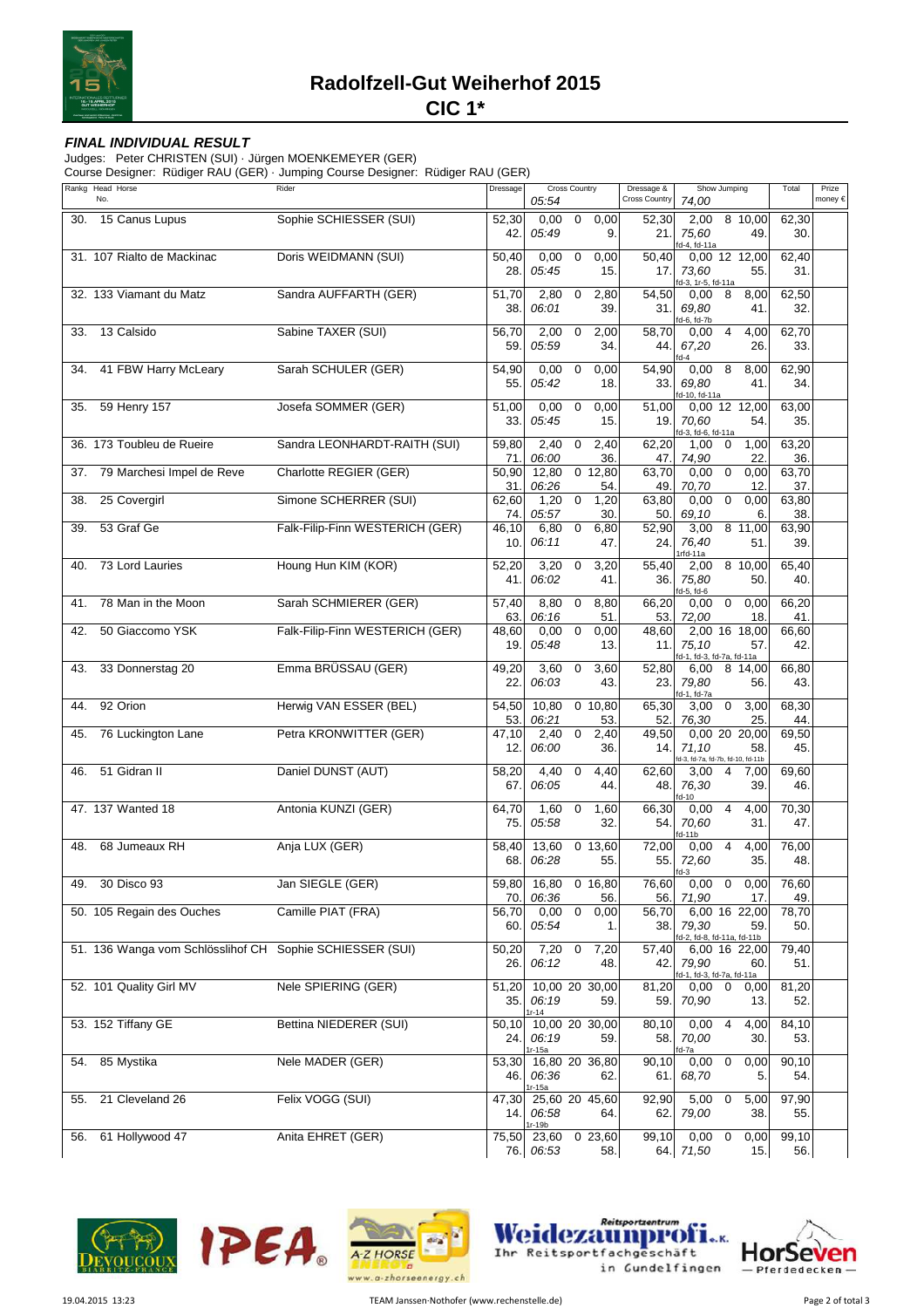

## **FINAL INDIVIDUAL RESULT**

Judges: Peter CHRISTEN (SUI) · Jürgen MOENKEMEYER (GER)

Course Designer: Rüdiger RAU (GER) · Jumping Course Designer: Rüdiger RAU (GER)

|     | Rankg Head Horse<br>No.                                  | ັ<br>Rider                      | Dressage      | Cross Country<br>05:54            |                  |                  | Dressage &<br><b>Cross Country</b> | Show Jumping<br>74,00                                                              | Total        | Prize<br>money € |
|-----|----------------------------------------------------------|---------------------------------|---------------|-----------------------------------|------------------|------------------|------------------------------------|------------------------------------------------------------------------------------|--------------|------------------|
| 30. | 15 Canus Lupus                                           | Sophie SCHIESSER (SUI)          | 52,30<br>42.  | 0,00<br>05:49                     | $\mathbf 0$      | 0,00<br>9.       | 52,30<br>21.                       | 8 10,00<br>2,00<br>75,60<br>49.                                                    | 62,30<br>30. |                  |
|     | 31. 107 Rialto de Mackinac                               | Doris WEIDMANN (SUI)            | 50,40         | 0,00                              | $\overline{0}$   | 0,00             | 50,40                              | d-4, fd-11a<br>0,00 12 12,00                                                       | 62,40        |                  |
|     |                                                          |                                 | 28.           | 05:45                             |                  | 15.              | 17.                                | 73.60<br>55.<br>d-3, 1r-5, fd-11a                                                  | 31.          |                  |
|     | 32. 133 Viamant du Matz                                  | Sandra AUFFARTH (GER)           | 51,70<br>38.  | 2,80<br>06:01                     | $\overline{0}$   | 2,80<br>39.      | 54,50<br>31.1                      | 0,00<br>8<br>8,00<br>69.80<br>41.                                                  | 62,50<br>32. |                  |
| 33. | 13 Calsido                                               | Sabine TAXER (SUI)              | 56,70         | 2,00                              | $\overline{0}$   | 2,00             | 58,70                              | d-6, fd-7b<br>$\overline{4}$<br>4,00<br>0,00                                       | 62,70        |                  |
|     |                                                          |                                 | 59.           | 05:59                             |                  | 34.              | 44.                                | 67,20<br>26.<br>$d-4$                                                              | 33.          |                  |
| 34. | 41 FBW Harry McLeary                                     | Sarah SCHULER (GER)             | 54,90<br>55.  | 0,00<br>05:42                     | $\boldsymbol{0}$ | 0,00<br>18.      | 54,90<br>33.1                      | 0,00<br>8<br>8,00<br>69,80<br>41.<br>d-10, fd-11a                                  | 62,90<br>34. |                  |
| 35. | 59 Henry 157                                             | Josefa SOMMER (GER)             | 51,00<br>33.  | 0,00<br>05:45                     | 0                | 0,00<br>15.      | 51,00<br>19.1                      | 0,00 12 12,00<br>70,60<br>54.<br>d-3, fd-6, fd-11a                                 | 63,00<br>35. |                  |
|     | 36. 173 Toubleu de Rueire                                | Sandra LEONHARDT-RAITH (SUI)    | 59,80<br>71.  | 2,40<br>06:00                     | 0                | 2,40<br>36.      | 62,20<br>47.                       | 1,00<br>1,00<br>0<br>74,90<br>22                                                   | 63,20<br>36. |                  |
| 37. | 79 Marchesi Impel de Reve                                | Charlotte REGIER (GER)          | 50,90         | 12,80                             |                  | 0, 12, 80        | 63,70                              | 0,00<br>$\mathbf 0$<br>0,00                                                        | 63,70        |                  |
| 38. | 25 Covergirl                                             | Simone SCHERRER (SUI)           | 31.<br>62,60  | 06:26<br>1,20                     | $\mathbf 0$      | 54.<br>1,20      | 49.<br>63,80                       | 70,70<br>12<br>0,00<br>$\mathbf 0$<br>0,00                                         | 37.<br>63,80 |                  |
| 39. | 53 Graf Ge                                               | Falk-Filip-Finn WESTERICH (GER) | 74.<br>46,10  | 05:57<br>6,80                     | 0                | 30.<br>6,80      | 50.<br>52,90                       | 69,10<br>6.<br>3,00<br>8 11,00                                                     | 38.<br>63,90 |                  |
|     |                                                          |                                 | 10.           | 06:11                             |                  | 47.              | 24.                                | 76,40<br>51.<br>Irfd-11a                                                           | 39.          |                  |
| 40. | 73 Lord Lauries                                          | Houng Hun KIM (KOR)             | 52,20         | 3,20                              | 0                | 3,20             | 55,40                              | 8 10,00<br>2,00                                                                    | 65,40        |                  |
| 41. | 78 Man in the Moon                                       | Sarah SCHMIERER (GER)           | 41.<br>57,40  | 06:02<br>8,80                     | 0                | 41.<br>8,80      | 36.<br>66,20                       | 75,80<br>50.<br>d-5, fd-6<br>$\mathbf 0$<br>0,00<br>0,00                           | 40.<br>66,20 |                  |
|     |                                                          |                                 | 63.           | 06:16                             |                  | 51.              | 53.                                | 72,00<br>18                                                                        | 41.          |                  |
| 42. | 50 Giaccomo YSK                                          | Falk-Filip-Finn WESTERICH (GER) | 48,60<br>19.  | 0,00<br>05:48                     | $\mathbf 0$      | 0,00<br>13.      | 48,60<br>11.                       | 2,00 16 18,00<br>75,10<br>57.<br>fd-1, fd-3, fd-7a, fd-11a                         | 66,60<br>42. |                  |
| 43. | 33 Donnerstag 20                                         | Emma BRÜSSAU (GER)              | 49,20<br>22.  | 3,60<br>06:03                     | 0                | 3,60<br>43.      | 52,80<br>23.                       | 8 14,00<br>6,00<br>79,80<br>56.                                                    | 66,80<br>43. |                  |
| 44. | 92 Orion                                                 | Herwig VAN ESSER (BEL)          | 54,50<br>53.  | 10,80<br>06:21                    |                  | $0$ 10,80<br>53. | 65,30<br>52.                       | fd-1, fd-7a<br>$\mathbf 0$<br>3,00<br>3,00<br>76,30<br>25                          | 68,30<br>44. |                  |
| 45. | 76 Luckington Lane                                       | Petra KRONWITTER (GER)          | 47,10<br>12.  | 2,40<br>06:00                     | $\mathbf 0$      | 2,40<br>36.      | 49,50<br>14.1                      | 0,00 20 20,00<br>71,10<br>58.                                                      | 69,50<br>45. |                  |
| 46. | 51 Gidran II                                             | Daniel DUNST (AUT)              | 58,20<br>67.  | 4,40<br>06:05                     | 0                | 4,40<br>44.      | 62,60<br>48.                       | d-3, fd-7a, fd-7b, fd-10, fd-11b<br>3,00<br>$\overline{4}$<br>7,00<br>76,30<br>39. | 69,60<br>46. |                  |
|     | 47. 137 Wanted 18                                        | Antonia KUNZI (GER)             | 64,70         | 1,60                              | 0                | 1,60             | 66,30                              | $d-10$<br>0,00<br>$\overline{4}$<br>4,00                                           | 70,30        |                  |
|     |                                                          |                                 | 75.           | 05:58                             |                  | 32.              | 54.                                | 70,60<br>31.<br>d-11b                                                              | 47.          |                  |
| 48. | 68 Jumeaux RH                                            | Anja LUX (GER)                  | 58,40<br>68.  | 13,60<br>06:28                    |                  | 0 13,60<br>55.   | 72,00<br>55.                       | $\overline{4}$<br>4,00<br>0,00<br>72,60<br>35.<br>fd-3                             | 76,00<br>48. |                  |
|     | 49. 30 Disco 93                                          | Jan SIEGLE (GER)                | 59,80<br>70.  | 16,80 0 16,80<br>06:36            |                  | 56.              | 76,60<br>56.                       | $0,00 \quad 0$<br>0,00<br>71,90<br>17.                                             | 76,60<br>49. |                  |
|     | 50. 105 Regain des Ouches                                | Camille PIAT (FRA)              | 56,70         | 0,00                              | $\boldsymbol{0}$ | 0,00             | 56,70                              | 6,00 16 22,00                                                                      | 78,70        |                  |
|     |                                                          |                                 | 60.           | 05:54                             |                  | 1.               | 38.                                | 79,30<br>59.<br>d-2, fd-8, fd-11a, fd-11b                                          | 50.          |                  |
|     | 51. 136 Wanga vom Schlösslihof CH Sophie SCHIESSER (SUI) |                                 | 50,20<br>26.  | $7,20$ 0<br>06:12                 |                  | 7,20<br>48.      | 57,40<br>42.1                      | 6,00 16 22,00<br>79,90<br>60.<br>id-1, fd-3, fd-7a, fd-11a                         | 79,40<br>51. |                  |
|     | 52. 101 Quality Girl MV                                  | Nele SPIERING (GER)             | 51,20<br>35.  | 10,00 20 30,00<br>06:19           |                  | 59.              | 81,20<br>59.                       | $0,00 \quad 0$<br>0,00<br>70,90<br>13.                                             | 81,20<br>52. |                  |
|     | 53. 152 Tiffany GE                                       | Bettina NIEDERER (SUI)          | 50,10<br>24.  | $r-14$<br>10,00 20 30,00<br>06:19 |                  | 59.              | 80,10<br>58.                       | 0,00<br>4<br>4,00<br>70,00<br>30.                                                  | 84,10<br>53. |                  |
|     | 54. 85 Mystika                                           | Nele MADER (GER)                | 53,30<br>46.1 | 1r-15a<br>16,80 20 36,80<br>06:36 |                  | 62.              | 90,10<br>61.                       | d-7a<br>$\boldsymbol{0}$<br>0,00<br>0,00<br>68,70<br>5.                            | 90,10<br>54. |                  |
| 55. | 21 Cleveland 26                                          | Felix VOGG (SUI)                | 47,30<br>14.1 | 1r-15a<br>25,60 20 45,60<br>06:58 |                  | 64.              | 92,90<br>62.1                      | 5,00<br>0<br>5,00<br>79,00<br>38.                                                  | 97,90<br>55. |                  |
|     | 56. 61 Hollywood 47                                      | Anita EHRET (GER)               |               | 1r-19b<br>75,50 23,60             |                  | 0 23,60          | 99,10                              | 0,00<br>$\mathbf 0$<br>0,00                                                        | 99,10        |                  |
|     |                                                          |                                 |               | 76. 06:53                         |                  | 58.              |                                    | 64. 71,50<br>15.                                                                   | 56.          |                  |